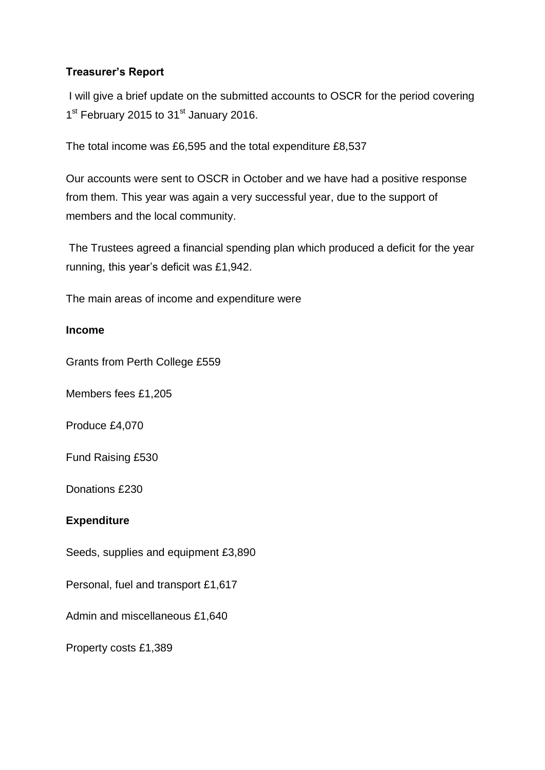# **Treasurer's Report**

I will give a brief update on the submitted accounts to OSCR for the period covering 1<sup>st</sup> February 2015 to 31<sup>st</sup> January 2016.

The total income was £6,595 and the total expenditure £8,537

Our accounts were sent to OSCR in October and we have had a positive response from them. This year was again a very successful year, due to the support of members and the local community.

The Trustees agreed a financial spending plan which produced a deficit for the year running, this year's deficit was £1,942.

The main areas of income and expenditure were

## **Income**

Grants from Perth College £559

Members fees £1,205

Produce £4,070

Fund Raising £530

Donations £230

## **Expenditure**

Seeds, supplies and equipment £3,890

Personal, fuel and transport £1,617

Admin and miscellaneous £1,640

Property costs £1,389